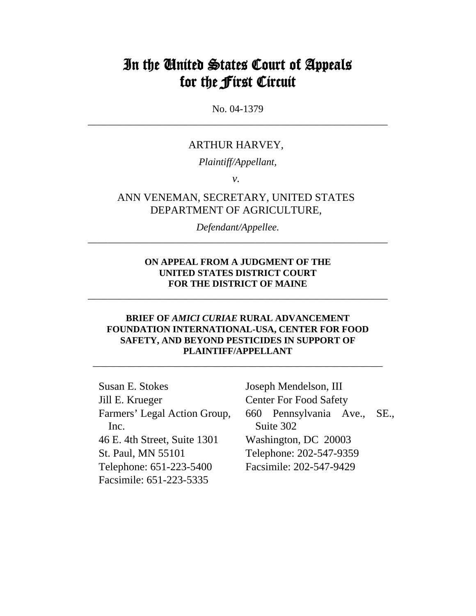# In the United States Court of Appeals for the First Circuit

No. 04-1379 \_\_\_\_\_\_\_\_\_\_\_\_\_\_\_\_\_\_\_\_\_\_\_\_\_\_\_\_\_\_\_\_\_\_\_\_\_\_\_\_\_\_\_\_\_\_\_\_\_\_\_\_\_\_\_\_\_\_\_

#### ARTHUR HARVEY,

*Plaintiff/Appellant,* 

*v.*

### ANN VENEMAN, SECRETARY, UNITED STATES DEPARTMENT OF AGRICULTURE,

*Defendant/Appellee.*  \_\_\_\_\_\_\_\_\_\_\_\_\_\_\_\_\_\_\_\_\_\_\_\_\_\_\_\_\_\_\_\_\_\_\_\_\_\_\_\_\_\_\_\_\_\_\_\_\_\_\_\_\_\_\_\_\_\_\_

#### **ON APPEAL FROM A JUDGMENT OF THE UNITED STATES DISTRICT COURT FOR THE DISTRICT OF MAINE**

\_\_\_\_\_\_\_\_\_\_\_\_\_\_\_\_\_\_\_\_\_\_\_\_\_\_\_\_\_\_\_\_\_\_\_\_\_\_\_\_\_\_\_\_\_\_\_\_\_\_\_\_\_\_\_\_\_\_\_

#### **BRIEF OF** *AMICI CURIAE* **RURAL ADVANCEMENT FOUNDATION INTERNATIONAL-USA, CENTER FOR FOOD SAFETY, AND BEYOND PESTICIDES IN SUPPORT OF PLAINTIFF/APPELLANT**

\_\_\_\_\_\_\_\_\_\_\_\_\_\_\_\_\_\_\_\_\_\_\_\_\_\_\_\_\_\_\_\_\_\_\_\_\_\_\_\_\_\_\_\_\_\_\_\_\_\_\_\_\_\_\_\_\_

Susan E. Stokes Jill E. Krueger Farmers' Legal Action Group, Inc. 46 E. 4th Street, Suite 1301 St. Paul, MN 55101 Telephone: 651-223-5400 Facsimile: 651-223-5335

Joseph Mendelson, III Center For Food Safety 660 Pennsylvania Ave., SE., Suite 302 Washington, DC 20003 Telephone: 202-547-9359 Facsimile: 202-547-9429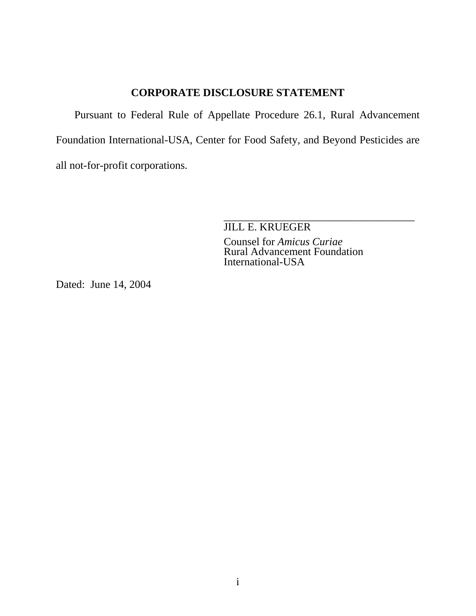# **CORPORATE DISCLOSURE STATEMENT**

<span id="page-1-0"></span>Pursuant to Federal Rule of Appellate Procedure 26.1, Rural Advancement Foundation International-USA, Center for Food Safety, and Beyond Pesticides are all not-for-profit corporations.

> \_\_\_\_\_\_\_\_\_\_\_\_\_\_\_\_\_\_\_\_\_\_\_\_\_\_\_\_\_\_\_\_\_\_\_ JILL E. KRUEGER

Counsel for *Amicus Curiae* Rural Advancement Foundation International-USA

Dated: June 14, 2004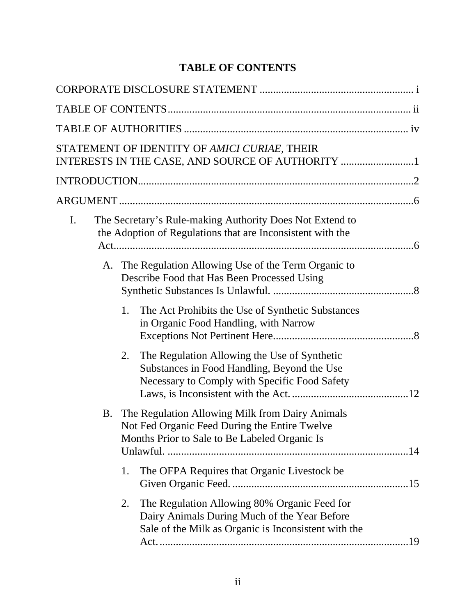# **TABLE OF CONTENTS**

<span id="page-2-0"></span>

|    | STATEMENT OF IDENTITY OF AMICI CURIAE, THEIR<br>INTERESTS IN THE CASE, AND SOURCE OF AUTHORITY 1                                                           |
|----|------------------------------------------------------------------------------------------------------------------------------------------------------------|
|    |                                                                                                                                                            |
|    |                                                                                                                                                            |
| I. | The Secretary's Rule-making Authority Does Not Extend to<br>the Adoption of Regulations that are Inconsistent with the                                     |
|    | A. The Regulation Allowing Use of the Term Organic to<br>Describe Food that Has Been Processed Using                                                       |
|    | 1.<br>The Act Prohibits the Use of Synthetic Substances<br>in Organic Food Handling, with Narrow                                                           |
|    | The Regulation Allowing the Use of Synthetic<br>2.<br>Substances in Food Handling, Beyond the Use<br>Necessary to Comply with Specific Food Safety         |
| B. | The Regulation Allowing Milk from Dairy Animals<br>Not Fed Organic Feed During the Entire Twelve<br>Months Prior to Sale to Be Labeled Organic Is          |
|    | The OFPA Requires that Organic Livestock be<br>1.                                                                                                          |
|    | The Regulation Allowing 80% Organic Feed for<br>2.<br>Dairy Animals During Much of the Year Before<br>Sale of the Milk as Organic is Inconsistent with the |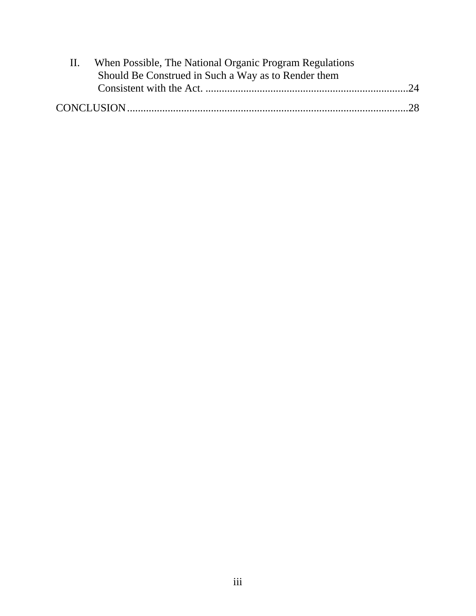| H. | When Possible, The National Organic Program Regulations |  |
|----|---------------------------------------------------------|--|
|    | Should Be Construed in Such a Way as to Render them     |  |
|    |                                                         |  |
|    |                                                         |  |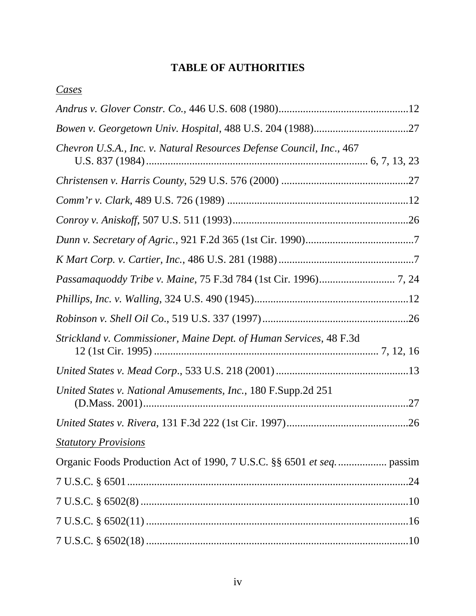# **TABLE OF AUTHORITIES**

<span id="page-4-0"></span>

|--|

| Chevron U.S.A., Inc. v. Natural Resources Defense Council, Inc., 467 |  |
|----------------------------------------------------------------------|--|
|                                                                      |  |
|                                                                      |  |
|                                                                      |  |
|                                                                      |  |
|                                                                      |  |
|                                                                      |  |
|                                                                      |  |
|                                                                      |  |
| Strickland v. Commissioner, Maine Dept. of Human Services, 48 F.3d   |  |
|                                                                      |  |
| United States v. National Amusements, Inc., 180 F.Supp.2d 251        |  |
|                                                                      |  |
| <b>Statutory Provisions</b>                                          |  |
|                                                                      |  |
|                                                                      |  |
|                                                                      |  |
|                                                                      |  |
|                                                                      |  |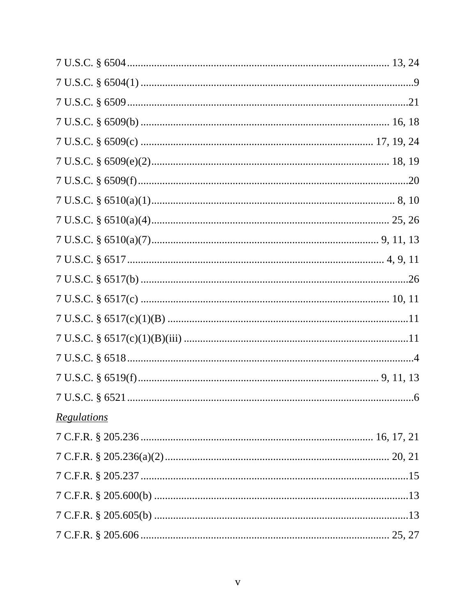| <u>Regulations</u> |  |
|--------------------|--|
|                    |  |
|                    |  |
|                    |  |
|                    |  |
|                    |  |
|                    |  |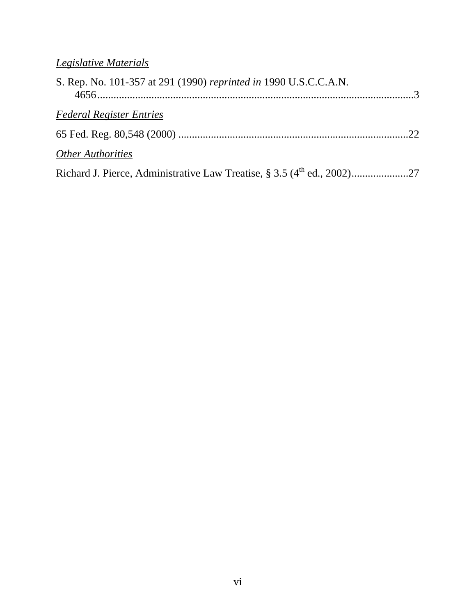| S. Rep. No. 101-357 at 291 (1990) reprinted in 1990 U.S.C.C.A.N. |  |
|------------------------------------------------------------------|--|
| <b>Federal Register Entries</b>                                  |  |
|                                                                  |  |
| <b>Other Authorities</b>                                         |  |
|                                                                  |  |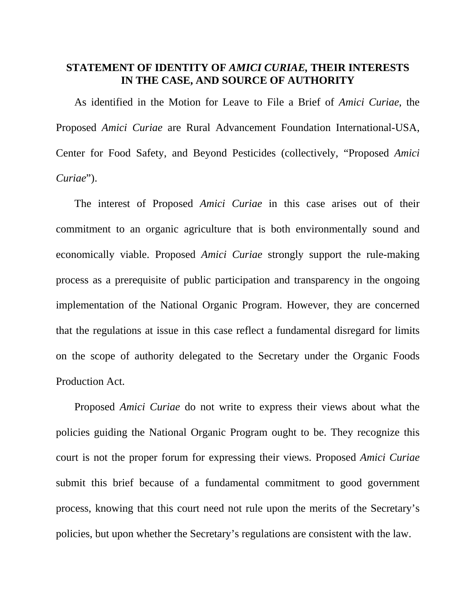# <span id="page-7-0"></span>**STATEMENT OF IDENTITY OF** *AMICI CURIAE,* **THEIR INTERESTS IN THE CASE, AND SOURCE OF AUTHORITY**

As identified in the Motion for Leave to File a Brief of *Amici Curiae*, the Proposed *Amici Curiae* are Rural Advancement Foundation International-USA, Center for Food Safety, and Beyond Pesticides (collectively, "Proposed *Amici Curiae*").

The interest of Proposed *Amici Curiae* in this case arises out of their commitment to an organic agriculture that is both environmentally sound and economically viable. Proposed *Amici Curiae* strongly support the rule-making process as a prerequisite of public participation and transparency in the ongoing implementation of the National Organic Program. However, they are concerned that the regulations at issue in this case reflect a fundamental disregard for limits on the scope of authority delegated to the Secretary under the Organic Foods Production Act.

Proposed *Amici Curiae* do not write to express their views about what the policies guiding the National Organic Program ought to be. They recognize this court is not the proper forum for expressing their views. Proposed *Amici Curiae* submit this brief because of a fundamental commitment to good government process, knowing that this court need not rule upon the merits of the Secretary's policies, but upon whether the Secretary's regulations are consistent with the law.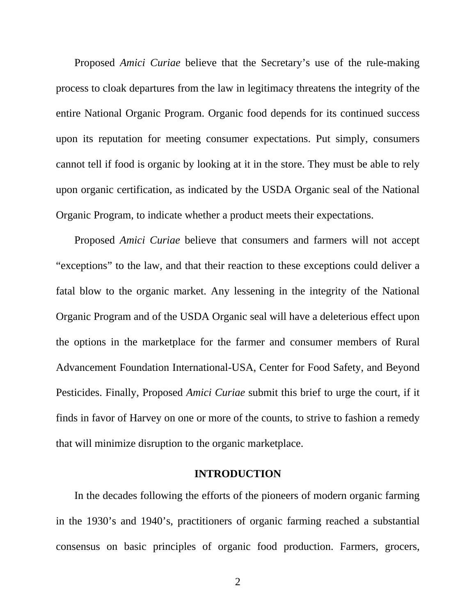<span id="page-8-0"></span>Proposed *Amici Curiae* believe that the Secretary's use of the rule-making process to cloak departures from the law in legitimacy threatens the integrity of the entire National Organic Program. Organic food depends for its continued success upon its reputation for meeting consumer expectations. Put simply, consumers cannot tell if food is organic by looking at it in the store. They must be able to rely upon organic certification, as indicated by the USDA Organic seal of the National Organic Program, to indicate whether a product meets their expectations.

Proposed *Amici Curiae* believe that consumers and farmers will not accept "exceptions" to the law, and that their reaction to these exceptions could deliver a fatal blow to the organic market. Any lessening in the integrity of the National Organic Program and of the USDA Organic seal will have a deleterious effect upon the options in the marketplace for the farmer and consumer members of Rural Advancement Foundation International-USA, Center for Food Safety, and Beyond Pesticides. Finally, Proposed *Amici Curiae* submit this brief to urge the court, if it finds in favor of Harvey on one or more of the counts, to strive to fashion a remedy that will minimize disruption to the organic marketplace.

### **INTRODUCTION**

In the decades following the efforts of the pioneers of modern organic farming in the 1930's and 1940's, practitioners of organic farming reached a substantial consensus on basic principles of organic food production. Farmers, grocers,

2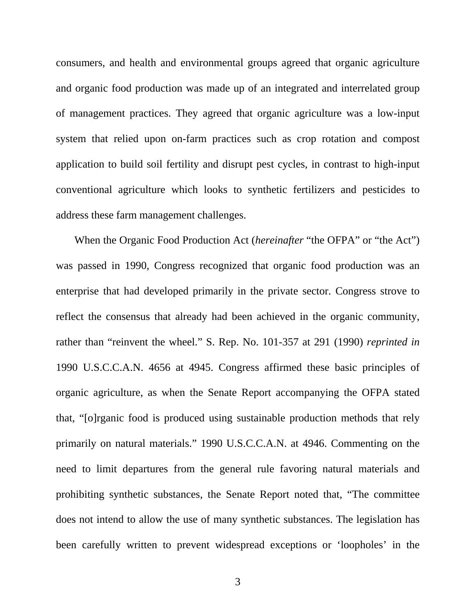consumers, and health and environmental groups agreed that organic agriculture and organic food production was made up of an integrated and interrelated group of management practices. They agreed that organic agriculture was a low-input system that relied upon on-farm practices such as crop rotation and compost application to build soil fertility and disrupt pest cycles, in contrast to high-input conventional agriculture which looks to synthetic fertilizers and pesticides to address these farm management challenges.

When the Organic Food Production Act (*hereinafter* "the OFPA" or "the Act") was passed in 1990, Congress recognized that organic food production was an enterprise that had developed primarily in the private sector. Congress strove to reflect the consensus that already had been achieved in the organic community, rather than "reinvent the wheel." S. Rep. No. 101-357 at 291 (1990) *reprinted in* 1990 U.S.C.C.A.N. 4656 at 4945. Congress affirmed these basic principles of organic agriculture, as when the Senate Report accompanying the OFPA stated that, "[o]rganic food is produced using sustainable production methods that rely primarily on natural materials." 1990 U.S.C.C.A.N. at 4946. Commenting on the need to limit departures from the general rule favoring natural materials and prohibiting synthetic substances, the Senate Report noted that, "The committee does not intend to allow the use of many synthetic substances. The legislation has been carefully written to prevent widespread exceptions or 'loopholes' in the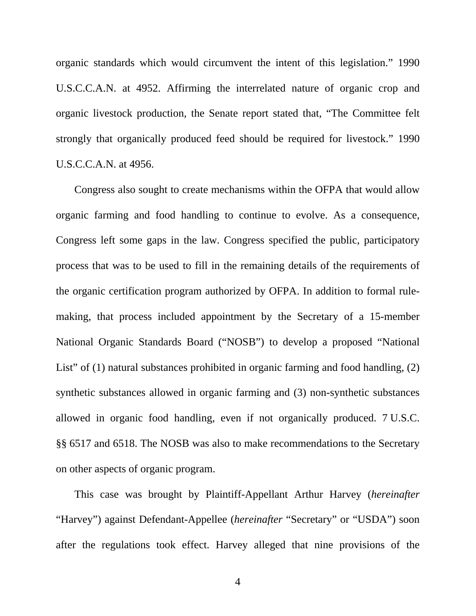organic standards which would circumvent the intent of this legislation." 1990 U.S.C.C.A.N. at 4952. Affirming the interrelated nature of organic crop and organic livestock production, the Senate report stated that, "The Committee felt strongly that organically produced feed should be required for livestock." 1990 U.S.C.C.A.N. at 4956.

Congress also sought to create mechanisms within the OFPA that would allow organic farming and food handling to continue to evolve. As a consequence, Congress left some gaps in the law. Congress specified the public, participatory process that was to be used to fill in the remaining details of the requirements of the organic certification program authorized by OFPA. In addition to formal rulemaking, that process included appointment by the Secretary of a 15-member National Organic Standards Board ("NOSB") to develop a proposed "National List" of (1) natural substances prohibited in organic farming and food handling, (2) synthetic substances allowed in organic farming and (3) non-synthetic substances allowed in organic food handling, even if not organically produced. 7 U.S.C. §§ 6517 and 6518. The NOSB was also to make recommendations to the Secretary on other aspects of organic program.

This case was brought by Plaintiff-Appellant Arthur Harvey (*hereinafter* "Harvey") against Defendant-Appellee (*hereinafter* "Secretary" or "USDA") soon after the regulations took effect. Harvey alleged that nine provisions of the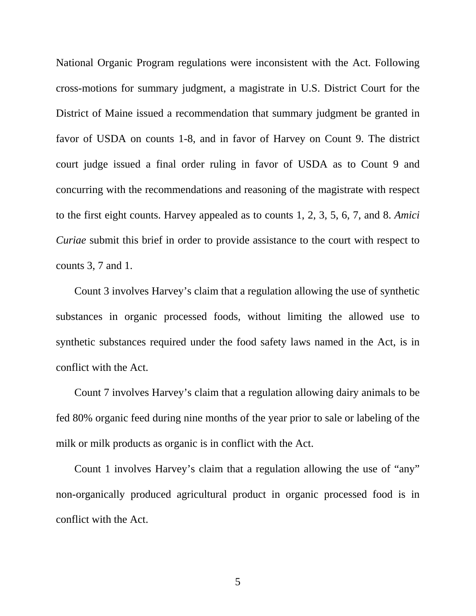National Organic Program regulations were inconsistent with the Act. Following cross-motions for summary judgment, a magistrate in U.S. District Court for the District of Maine issued a recommendation that summary judgment be granted in favor of USDA on counts 1-8, and in favor of Harvey on Count 9. The district court judge issued a final order ruling in favor of USDA as to Count 9 and concurring with the recommendations and reasoning of the magistrate with respect to the first eight counts. Harvey appealed as to counts 1, 2, 3, 5, 6, 7, and 8. *Amici Curiae* submit this brief in order to provide assistance to the court with respect to counts 3, 7 and 1.

Count 3 involves Harvey's claim that a regulation allowing the use of synthetic substances in organic processed foods, without limiting the allowed use to synthetic substances required under the food safety laws named in the Act, is in conflict with the Act.

Count 7 involves Harvey's claim that a regulation allowing dairy animals to be fed 80% organic feed during nine months of the year prior to sale or labeling of the milk or milk products as organic is in conflict with the Act.

Count 1 involves Harvey's claim that a regulation allowing the use of "any" non-organically produced agricultural product in organic processed food is in conflict with the Act.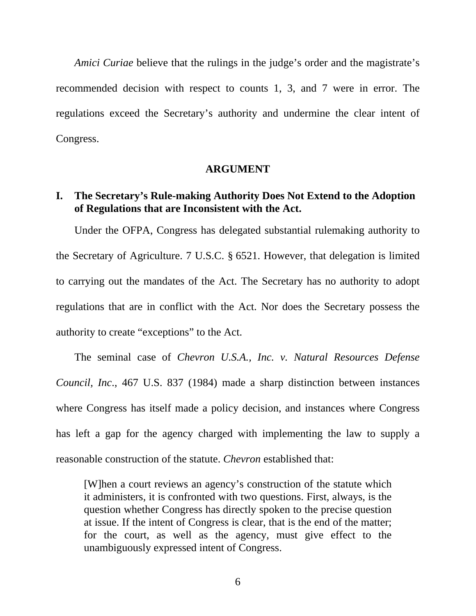<span id="page-12-0"></span>*Amici Curiae* believe that the rulings in the judge's order and the magistrate's recommended decision with respect to counts 1, 3, and 7 were in error. The regulations exceed the Secretary's authority and undermine the clear intent of Congress.

### **ARGUMENT**

# **I. The Secretary's Rule-making Authority Does Not Extend to the Adoption of Regulations that are Inconsistent with the Act.**

Under the OFPA, Congress has delegated substantial rulemaking authority to the Secretary of Agriculture. 7 U.S.C. § 6521. However, that delegation is limited to carrying out the mandates of the Act. The Secretary has no authority to adopt regulations that are in conflict with the Act. Nor does the Secretary possess the authority to create "exceptions" to the Act.

The seminal case of *Chevron U.S.A., Inc. v. Natural Resources Defense Council, Inc*., 467 U.S. 837 (1984) made a sharp distinction between instances where Congress has itself made a policy decision, and instances where Congress has left a gap for the agency charged with implementing the law to supply a reasonable construction of the statute. *Chevron* established that:

[W]hen a court reviews an agency's construction of the statute which it administers, it is confronted with two questions. First, always, is the question whether Congress has directly spoken to the precise question at issue. If the intent of Congress is clear, that is the end of the matter; for the court, as well as the agency, must give effect to the unambiguously expressed intent of Congress.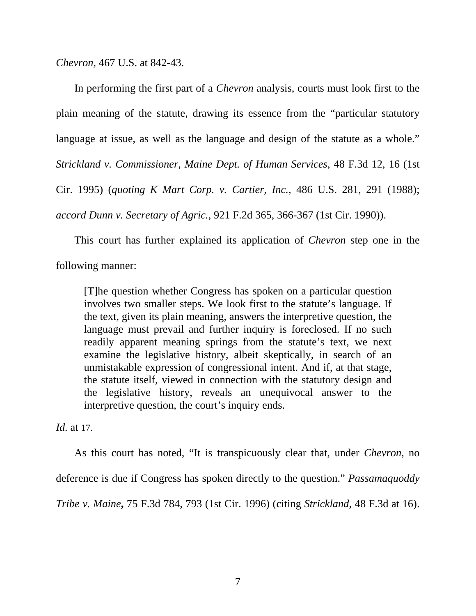*Chevron*, 467 U.S. at 842-43.

In performing the first part of a *Chevron* analysis, courts must look first to the plain meaning of the statute, drawing its essence from the "particular statutory language at issue, as well as the language and design of the statute as a whole." *Strickland v. Commissioner, Maine Dept. of Human Services*, 48 F.3d 12, 16 (1st Cir. 1995) (*quoting K Mart Corp. v. Cartier, Inc.*, 486 U.S. 281, 291 (1988); *accord Dunn v. Secretary of Agric.*, 921 F.2d 365, 366-367 (1st Cir. 1990)).

This court has further explained its application of *Chevron* step one in the following manner:

[T]he question whether Congress has spoken on a particular question involves two smaller steps. We look first to the statute's language. If the text, given its plain meaning, answers the interpretive question, the language must prevail and further inquiry is foreclosed. If no such readily apparent meaning springs from the statute's text, we next examine the legislative history, albeit skeptically, in search of an unmistakable expression of congressional intent. And if, at that stage, the statute itself, viewed in connection with the statutory design and the legislative history, reveals an unequivocal answer to the interpretive question, the court's inquiry ends.

*Id.* at 17.

As this court has noted, "It is transpicuously clear that, under *Chevron*, no

deference is due if Congress has spoken directly to the question." *Passamaquoddy* 

*Tribe v. Maine***,** 75 F.3d 784, 793 (1st Cir. 1996) (citing *Strickland*, 48 F.3d at 16).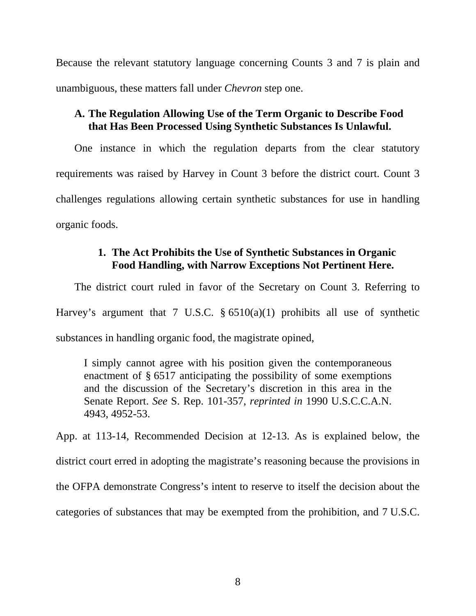Because the relevant statutory language concerning Counts 3 and 7 is plain and unambiguous, these matters fall under *Chevron* step one.

# **A. The Regulation Allowing Use of the Term Organic to Describe Food that Has Been Processed Using Synthetic Substances Is Unlawful.**

One instance in which the regulation departs from the clear statutory requirements was raised by Harvey in Count 3 before the district court. Count 3 challenges regulations allowing certain synthetic substances for use in handling organic foods.

# **1. The Act Prohibits the Use of Synthetic Substances in Organic Food Handling, with Narrow Exceptions Not Pertinent Here.**

The district court ruled in favor of the Secretary on Count 3. Referring to Harvey's argument that 7 U.S.C.  $\S 6510(a)(1)$  prohibits all use of synthetic substances in handling organic food, the magistrate opined,

I simply cannot agree with his position given the contemporaneous enactment of § 6517 anticipating the possibility of some exemptions and the discussion of the Secretary's discretion in this area in the Senate Report. *See* S. Rep. 101-357, *reprinted in* 1990 U.S.C.C.A.N. 4943, 4952-53.

App. at 113-14, Recommended Decision at 12-13. As is explained below, the district court erred in adopting the magistrate's reasoning because the provisions in the OFPA demonstrate Congress's intent to reserve to itself the decision about the categories of substances that may be exempted from the prohibition, and 7 U.S.C.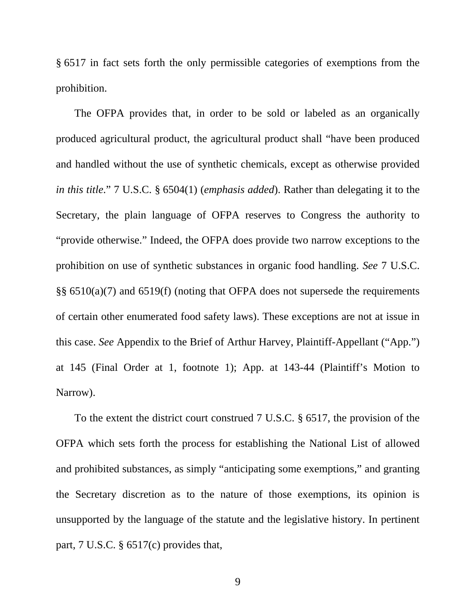<span id="page-15-0"></span>§ 6517 in fact sets forth the only permissible categories of exemptions from the prohibition.

The OFPA provides that, in order to be sold or labeled as an organically produced agricultural product, the agricultural product shall "have been produced and handled without the use of synthetic chemicals, except as otherwise provided *in this title*." 7 U.S.C. § 6504(1) (*emphasis added*). Rather than delegating it to the Secretary, the plain language of OFPA reserves to Congress the authority to "provide otherwise." Indeed, the OFPA does provide two narrow exceptions to the prohibition on use of synthetic substances in organic food handling. *See* 7 U.S.C. §§ 6510(a)(7) and 6519(f) (noting that OFPA does not supersede the requirements of certain other enumerated food safety laws). These exceptions are not at issue in this case. *See* Appendix to the Brief of Arthur Harvey, Plaintiff-Appellant ("App.") at 145 (Final Order at 1, footnote 1); App. at 143-44 (Plaintiff's Motion to Narrow).

To the extent the district court construed 7 U.S.C. § 6517, the provision of the OFPA which sets forth the process for establishing the National List of allowed and prohibited substances, as simply "anticipating some exemptions," and granting the Secretary discretion as to the nature of those exemptions, its opinion is unsupported by the language of the statute and the legislative history. In pertinent part, 7 U.S.C. § 6517(c) provides that,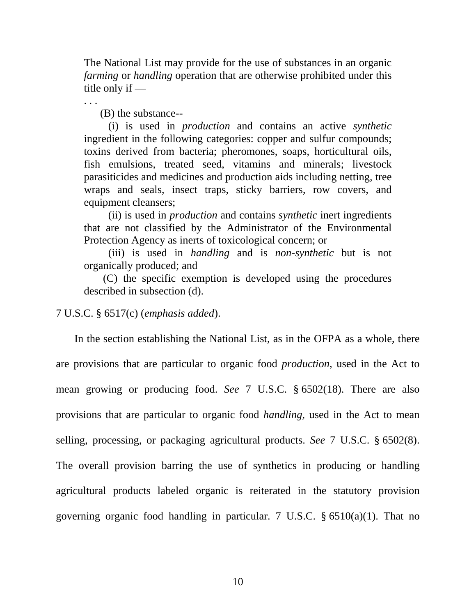The National List may provide for the use of substances in an organic *farming* or *handling* operation that are otherwise prohibited under this title only if —

. . .

(B) the substance--

 (i) is used in *production* and contains an active *synthetic*  ingredient in the following categories: copper and sulfur compounds; toxins derived from bacteria; pheromones, soaps, horticultural oils, fish emulsions, treated seed, vitamins and minerals; livestock parasiticides and medicines and production aids including netting, tree wraps and seals, insect traps, sticky barriers, row covers, and equipment cleansers;

 (ii) is used in *production* and contains *synthetic* inert ingredients that are not classified by the Administrator of the Environmental Protection Agency as inerts of toxicological concern; or

 (iii) is used in *handling* and is *non-synthetic* but is not organically produced; and

 (C) the specific exemption is developed using the procedures described in subsection (d).

### 7 U.S.C. § 6517(c) (*emphasis added*).

In the section establishing the National List, as in the OFPA as a whole, there are provisions that are particular to organic food *production*, used in the Act to mean growing or producing food. *See* 7 U.S.C. § 6502(18). There are also provisions that are particular to organic food *handling*, used in the Act to mean selling, processing, or packaging agricultural products. *See* 7 U.S.C. § 6502(8). The overall provision barring the use of synthetics in producing or handling agricultural products labeled organic is reiterated in the statutory provision governing organic food handling in particular. 7 U.S.C. § 6510(a)(1). That no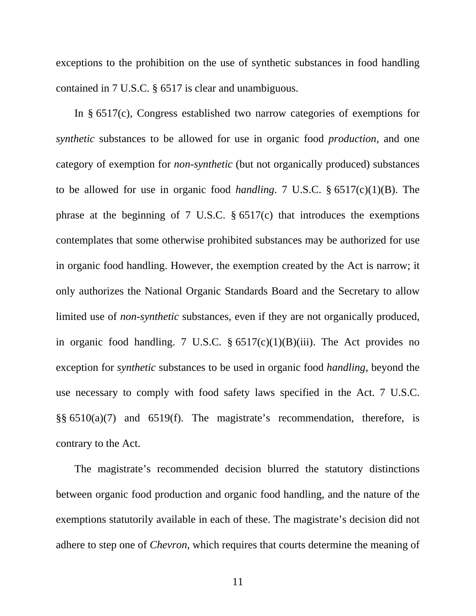exceptions to the prohibition on the use of synthetic substances in food handling contained in 7 U.S.C. § 6517 is clear and unambiguous.

In § 6517(c), Congress established two narrow categories of exemptions for *synthetic* substances to be allowed for use in organic food *production*, and one category of exemption for *non-synthetic* (but not organically produced) substances to be allowed for use in organic food *handling*. 7 U.S.C. § 6517(c)(1)(B). The phrase at the beginning of 7 U.S.C. § 6517(c) that introduces the exemptions contemplates that some otherwise prohibited substances may be authorized for use in organic food handling. However, the exemption created by the Act is narrow; it only authorizes the National Organic Standards Board and the Secretary to allow limited use of *non-synthetic* substances, even if they are not organically produced, in organic food handling. 7 U.S.C.  $\S 6517(c)(1)(B)(iii)$ . The Act provides no exception for *synthetic* substances to be used in organic food *handling*, beyond the use necessary to comply with food safety laws specified in the Act. 7 U.S.C. §§ 6510(a)(7) and 6519(f). The magistrate's recommendation, therefore, is contrary to the Act.

The magistrate's recommended decision blurred the statutory distinctions between organic food production and organic food handling, and the nature of the exemptions statutorily available in each of these. The magistrate's decision did not adhere to step one of *Chevron*, which requires that courts determine the meaning of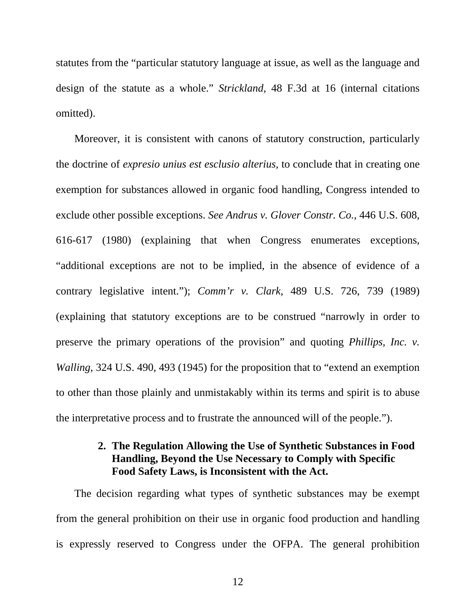statutes from the "particular statutory language at issue, as well as the language and design of the statute as a whole." *Strickland*, 48 F.3d at 16 (internal citations omitted).

Moreover, it is consistent with canons of statutory construction, particularly the doctrine of *expresio unius est esclusio alterius,* to conclude that in creating one exemption for substances allowed in organic food handling, Congress intended to exclude other possible exceptions. *See Andrus v. Glover Constr. Co.*, 446 U.S. 608, 616-617 (1980) (explaining that when Congress enumerates exceptions, "additional exceptions are not to be implied, in the absence of evidence of a contrary legislative intent."); *Comm'r v. Clark*, 489 U.S. 726, 739 (1989) (explaining that statutory exceptions are to be construed "narrowly in order to preserve the primary operations of the provision" and quoting *Phillips, Inc. v. Walling*, 324 U.S. 490, 493 (1945) for the proposition that to "extend an exemption to other than those plainly and unmistakably within its terms and spirit is to abuse the interpretative process and to frustrate the announced will of the people.").

# **2. The Regulation Allowing the Use of Synthetic Substances in Food Handling, Beyond the Use Necessary to Comply with Specific Food Safety Laws, is Inconsistent with the Act.**

The decision regarding what types of synthetic substances may be exempt from the general prohibition on their use in organic food production and handling is expressly reserved to Congress under the OFPA. The general prohibition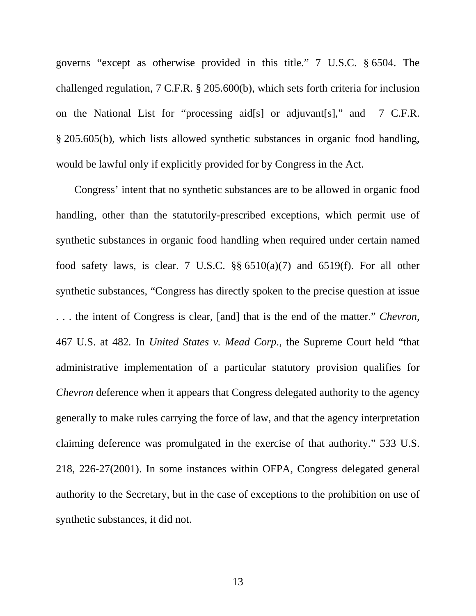governs "except as otherwise provided in this title." 7 U.S.C. § 6504. The challenged regulation, 7 C.F.R. § 205.600(b), which sets forth criteria for inclusion on the National List for "processing aid[s] or adjuvant[s]," and 7 C.F.R. § 205.605(b), which lists allowed synthetic substances in organic food handling, would be lawful only if explicitly provided for by Congress in the Act.

Congress' intent that no synthetic substances are to be allowed in organic food handling, other than the statutorily-prescribed exceptions, which permit use of synthetic substances in organic food handling when required under certain named food safety laws, is clear. 7 U.S.C.  $\S\S 6510(a)(7)$  and 6519(f). For all other synthetic substances, "Congress has directly spoken to the precise question at issue . . . the intent of Congress is clear, [and] that is the end of the matter." *Chevron,*  467 U.S. at 482*.* In *United States v. Mead Corp*., the Supreme Court held "that administrative implementation of a particular statutory provision qualifies for *Chevron* deference when it appears that Congress delegated authority to the agency generally to make rules carrying the force of law, and that the agency interpretation claiming deference was promulgated in the exercise of that authority." 533 U.S. 218, 226-27(2001). In some instances within OFPA, Congress delegated general authority to the Secretary, but in the case of exceptions to the prohibition on use of synthetic substances, it did not.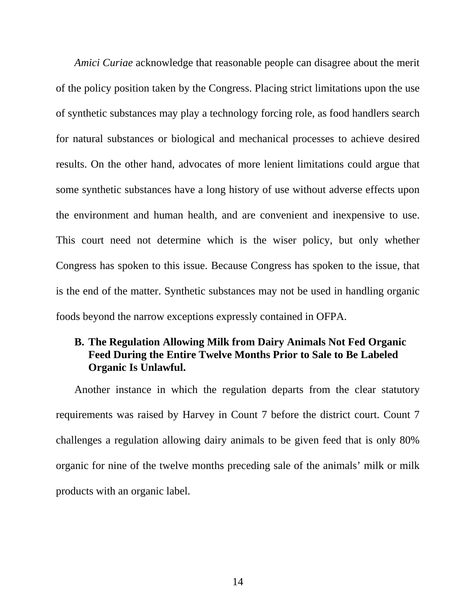<span id="page-20-0"></span>*Amici Curiae* acknowledge that reasonable people can disagree about the merit of the policy position taken by the Congress. Placing strict limitations upon the use of synthetic substances may play a technology forcing role, as food handlers search for natural substances or biological and mechanical processes to achieve desired results. On the other hand, advocates of more lenient limitations could argue that some synthetic substances have a long history of use without adverse effects upon the environment and human health, and are convenient and inexpensive to use. This court need not determine which is the wiser policy, but only whether Congress has spoken to this issue. Because Congress has spoken to the issue, that is the end of the matter. Synthetic substances may not be used in handling organic foods beyond the narrow exceptions expressly contained in OFPA.

# **B. The Regulation Allowing Milk from Dairy Animals Not Fed Organic Feed During the Entire Twelve Months Prior to Sale to Be Labeled Organic Is Unlawful.**

Another instance in which the regulation departs from the clear statutory requirements was raised by Harvey in Count 7 before the district court. Count 7 challenges a regulation allowing dairy animals to be given feed that is only 80% organic for nine of the twelve months preceding sale of the animals' milk or milk products with an organic label.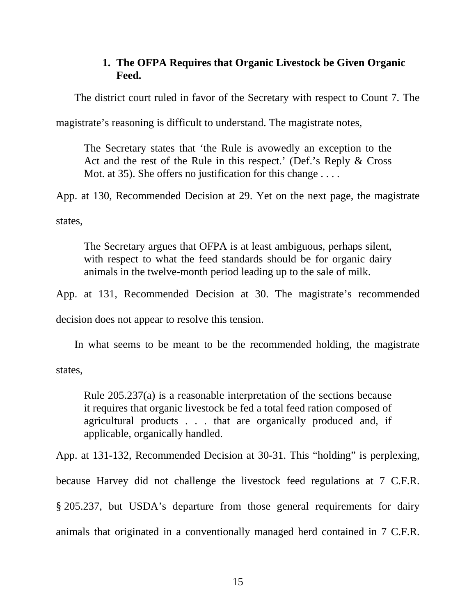# **1. The OFPA Requires that Organic Livestock be Given Organic Feed.**

The district court ruled in favor of the Secretary with respect to Count 7. The

magistrate's reasoning is difficult to understand. The magistrate notes,

The Secretary states that 'the Rule is avowedly an exception to the Act and the rest of the Rule in this respect.' (Def.'s Reply & Cross Mot. at 35). She offers no justification for this change . . . .

App. at 130, Recommended Decision at 29. Yet on the next page, the magistrate

states,

The Secretary argues that OFPA is at least ambiguous, perhaps silent, with respect to what the feed standards should be for organic dairy animals in the twelve-month period leading up to the sale of milk.

App. at 131, Recommended Decision at 30. The magistrate's recommended

decision does not appear to resolve this tension.

In what seems to be meant to be the recommended holding, the magistrate

states,

Rule 205.237(a) is a reasonable interpretation of the sections because it requires that organic livestock be fed a total feed ration composed of agricultural products . . . that are organically produced and, if applicable, organically handled.

App. at 131-132, Recommended Decision at 30-31. This "holding" is perplexing,

because Harvey did not challenge the livestock feed regulations at 7 C.F.R.

§ 205.237, but USDA's departure from those general requirements for dairy

animals that originated in a conventionally managed herd contained in 7 C.F.R.

15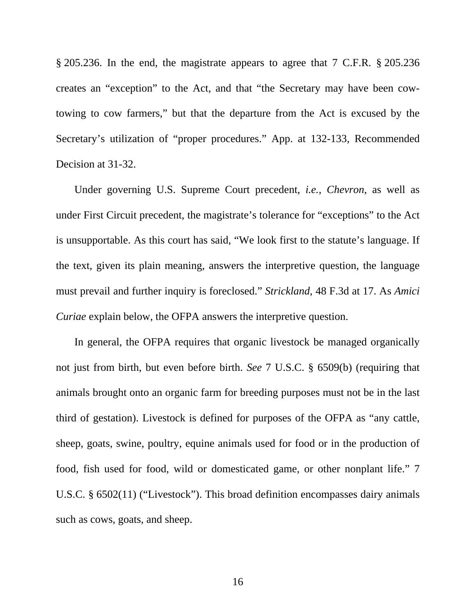<span id="page-22-0"></span>§ 205.236. In the end, the magistrate appears to agree that 7 C.F.R. § 205.236 creates an "exception" to the Act, and that "the Secretary may have been cowtowing to cow farmers," but that the departure from the Act is excused by the Secretary's utilization of "proper procedures." App. at 132-133, Recommended Decision at 31-32.

Under governing U.S. Supreme Court precedent, *i.e.*, *Chevron*, as well as under First Circuit precedent, the magistrate's tolerance for "exceptions" to the Act is unsupportable. As this court has said, "We look first to the statute's language. If the text, given its plain meaning, answers the interpretive question, the language must prevail and further inquiry is foreclosed." *Strickland*, 48 F.3d at 17. As *Amici Curiae* explain below, the OFPA answers the interpretive question.

In general, the OFPA requires that organic livestock be managed organically not just from birth, but even before birth. *See* 7 U.S.C. § 6509(b) (requiring that animals brought onto an organic farm for breeding purposes must not be in the last third of gestation). Livestock is defined for purposes of the OFPA as "any cattle, sheep, goats, swine, poultry, equine animals used for food or in the production of food, fish used for food, wild or domesticated game, or other nonplant life." 7 U.S.C. § 6502(11) ("Livestock"). This broad definition encompasses dairy animals such as cows, goats, and sheep.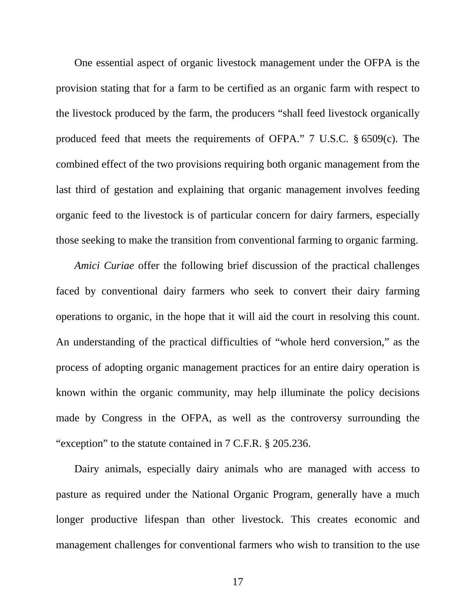<span id="page-23-0"></span>One essential aspect of organic livestock management under the OFPA is the provision stating that for a farm to be certified as an organic farm with respect to the livestock produced by the farm, the producers "shall feed livestock organically produced feed that meets the requirements of OFPA." 7 U.S.C. § 6509(c). The combined effect of the two provisions requiring both organic management from the last third of gestation and explaining that organic management involves feeding organic feed to the livestock is of particular concern for dairy farmers, especially those seeking to make the transition from conventional farming to organic farming.

*Amici Curiae* offer the following brief discussion of the practical challenges faced by conventional dairy farmers who seek to convert their dairy farming operations to organic, in the hope that it will aid the court in resolving this count. An understanding of the practical difficulties of "whole herd conversion," as the process of adopting organic management practices for an entire dairy operation is known within the organic community, may help illuminate the policy decisions made by Congress in the OFPA, as well as the controversy surrounding the "exception" to the statute contained in 7 C.F.R. § 205.236.

Dairy animals, especially dairy animals who are managed with access to pasture as required under the National Organic Program, generally have a much longer productive lifespan than other livestock. This creates economic and management challenges for conventional farmers who wish to transition to the use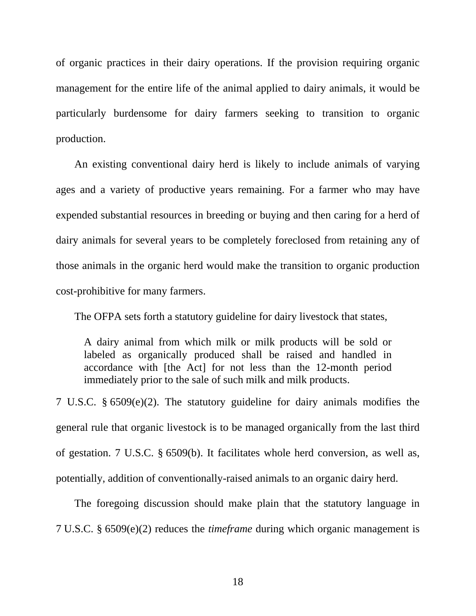of organic practices in their dairy operations. If the provision requiring organic management for the entire life of the animal applied to dairy animals, it would be particularly burdensome for dairy farmers seeking to transition to organic production.

An existing conventional dairy herd is likely to include animals of varying ages and a variety of productive years remaining. For a farmer who may have expended substantial resources in breeding or buying and then caring for a herd of dairy animals for several years to be completely foreclosed from retaining any of those animals in the organic herd would make the transition to organic production cost-prohibitive for many farmers.

The OFPA sets forth a statutory guideline for dairy livestock that states,

A dairy animal from which milk or milk products will be sold or labeled as organically produced shall be raised and handled in accordance with [the Act] for not less than the 12-month period immediately prior to the sale of such milk and milk products.

7 U.S.C. § 6509(e)(2). The statutory guideline for dairy animals modifies the general rule that organic livestock is to be managed organically from the last third of gestation. 7 U.S.C. § 6509(b). It facilitates whole herd conversion, as well as, potentially, addition of conventionally-raised animals to an organic dairy herd.

The foregoing discussion should make plain that the statutory language in 7 U.S.C. § 6509(e)(2) reduces the *timeframe* during which organic management is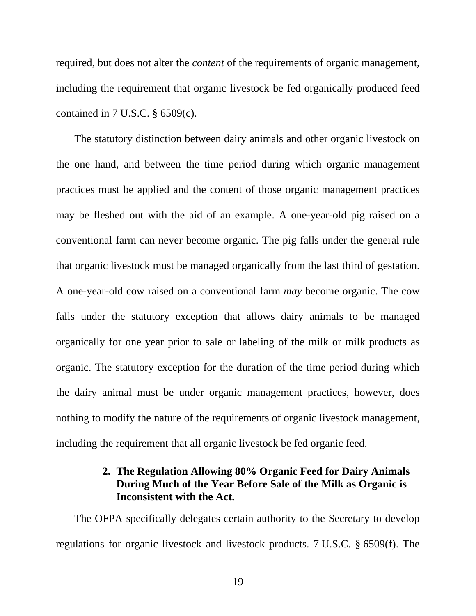required, but does not alter the *content* of the requirements of organic management, including the requirement that organic livestock be fed organically produced feed contained in 7 U.S.C. § 6509(c).

The statutory distinction between dairy animals and other organic livestock on the one hand, and between the time period during which organic management practices must be applied and the content of those organic management practices may be fleshed out with the aid of an example. A one-year-old pig raised on a conventional farm can never become organic. The pig falls under the general rule that organic livestock must be managed organically from the last third of gestation. A one-year-old cow raised on a conventional farm *may* become organic. The cow falls under the statutory exception that allows dairy animals to be managed organically for one year prior to sale or labeling of the milk or milk products as organic. The statutory exception for the duration of the time period during which the dairy animal must be under organic management practices, however, does nothing to modify the nature of the requirements of organic livestock management, including the requirement that all organic livestock be fed organic feed.

# **2. The Regulation Allowing 80% Organic Feed for Dairy Animals During Much of the Year Before Sale of the Milk as Organic is Inconsistent with the Act.**

The OFPA specifically delegates certain authority to the Secretary to develop regulations for organic livestock and livestock products. 7 U.S.C. § 6509(f). The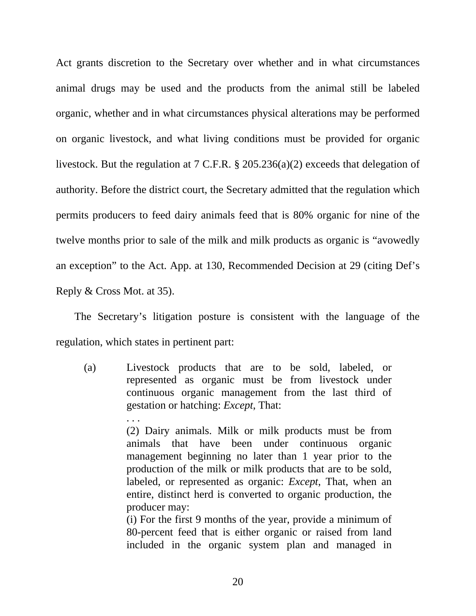Act grants discretion to the Secretary over whether and in what circumstances animal drugs may be used and the products from the animal still be labeled organic, whether and in what circumstances physical alterations may be performed on organic livestock, and what living conditions must be provided for organic livestock. But the regulation at 7 C.F.R. § 205.236(a)(2) exceeds that delegation of authority. Before the district court, the Secretary admitted that the regulation which permits producers to feed dairy animals feed that is 80% organic for nine of the twelve months prior to sale of the milk and milk products as organic is "avowedly an exception" to the Act. App. at 130, Recommended Decision at 29 (citing Def's Reply & Cross Mot. at 35).

The Secretary's litigation posture is consistent with the language of the regulation, which states in pertinent part:

(a) Livestock products that are to be sold, labeled, or represented as organic must be from livestock under continuous organic management from the last third of gestation or hatching: *Except*, That:

. . .

(2) Dairy animals. Milk or milk products must be from animals that have been under continuous organic management beginning no later than 1 year prior to the production of the milk or milk products that are to be sold, labeled, or represented as organic: *Except*, That, when an entire, distinct herd is converted to organic production, the producer may:

(i) For the first 9 months of the year, provide a minimum of 80-percent feed that is either organic or raised from land included in the organic system plan and managed in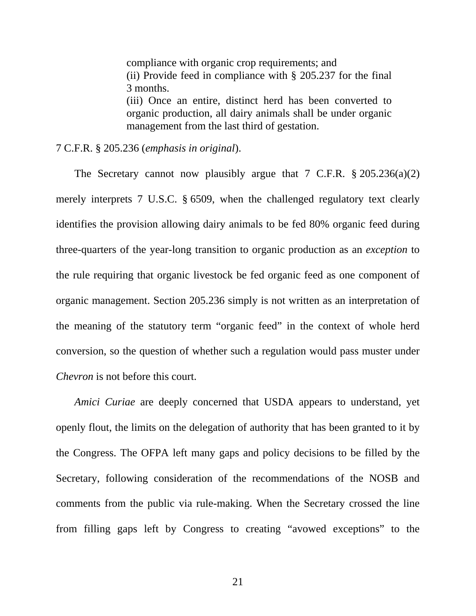compliance with organic crop requirements; and (ii) Provide feed in compliance with § 205.237 for the final 3 months. (iii) Once an entire, distinct herd has been converted to organic production, all dairy animals shall be under organic management from the last third of gestation.

7 C.F.R. § 205.236 (*emphasis in original*).

The Secretary cannot now plausibly argue that 7 C.F.R. § 205.236(a)(2) merely interprets 7 U.S.C. § 6509, when the challenged regulatory text clearly identifies the provision allowing dairy animals to be fed 80% organic feed during three-quarters of the year-long transition to organic production as an *exception* to the rule requiring that organic livestock be fed organic feed as one component of organic management. Section 205.236 simply is not written as an interpretation of the meaning of the statutory term "organic feed" in the context of whole herd conversion, so the question of whether such a regulation would pass muster under *Chevron* is not before this court.

*Amici Curiae* are deeply concerned that USDA appears to understand, yet openly flout, the limits on the delegation of authority that has been granted to it by the Congress. The OFPA left many gaps and policy decisions to be filled by the Secretary, following consideration of the recommendations of the NOSB and comments from the public via rule-making. When the Secretary crossed the line from filling gaps left by Congress to creating "avowed exceptions" to the

21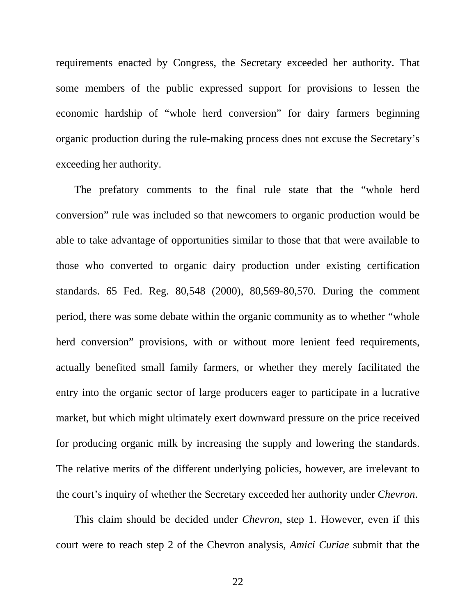<span id="page-28-0"></span>requirements enacted by Congress, the Secretary exceeded her authority. That some members of the public expressed support for provisions to lessen the economic hardship of "whole herd conversion" for dairy farmers beginning organic production during the rule-making process does not excuse the Secretary's exceeding her authority.

The prefatory comments to the final rule state that the "whole herd conversion" rule was included so that newcomers to organic production would be able to take advantage of opportunities similar to those that that were available to those who converted to organic dairy production under existing certification standards. 65 Fed. Reg. 80,548 (2000), 80,569-80,570. During the comment period, there was some debate within the organic community as to whether "whole herd conversion" provisions, with or without more lenient feed requirements, actually benefited small family farmers, or whether they merely facilitated the entry into the organic sector of large producers eager to participate in a lucrative market, but which might ultimately exert downward pressure on the price received for producing organic milk by increasing the supply and lowering the standards. The relative merits of the different underlying policies, however, are irrelevant to the court's inquiry of whether the Secretary exceeded her authority under *Chevron*.

This claim should be decided under *Chevron*, step 1. However, even if this court were to reach step 2 of the Chevron analysis, *Amici Curiae* submit that the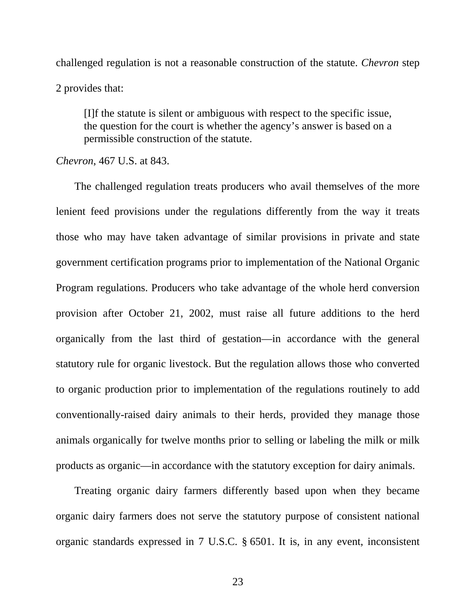challenged regulation is not a reasonable construction of the statute. *Chevron* step 2 provides that:

[I]f the statute is silent or ambiguous with respect to the specific issue, the question for the court is whether the agency's answer is based on a permissible construction of the statute.

#### *Chevron*, 467 U.S. at 843.

The challenged regulation treats producers who avail themselves of the more lenient feed provisions under the regulations differently from the way it treats those who may have taken advantage of similar provisions in private and state government certification programs prior to implementation of the National Organic Program regulations. Producers who take advantage of the whole herd conversion provision after October 21, 2002, must raise all future additions to the herd organically from the last third of gestation—in accordance with the general statutory rule for organic livestock. But the regulation allows those who converted to organic production prior to implementation of the regulations routinely to add conventionally-raised dairy animals to their herds, provided they manage those animals organically for twelve months prior to selling or labeling the milk or milk products as organic—in accordance with the statutory exception for dairy animals.

Treating organic dairy farmers differently based upon when they became organic dairy farmers does not serve the statutory purpose of consistent national organic standards expressed in 7 U.S.C. § 6501. It is, in any event, inconsistent

23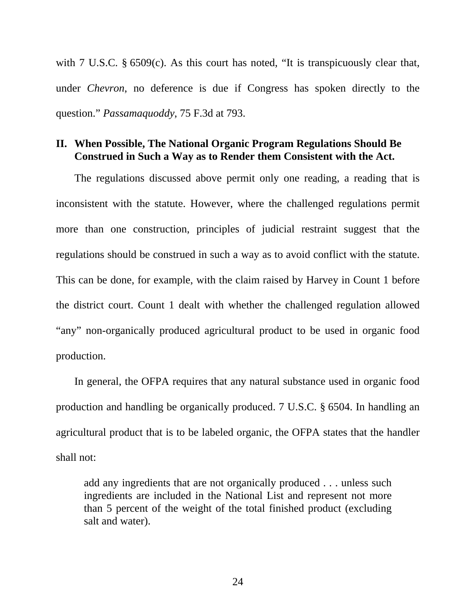with 7 U.S.C. § 6509(c). As this court has noted, "It is transpicuously clear that, under *Chevron*, no deference is due if Congress has spoken directly to the question." *Passamaquoddy*, 75 F.3d at 793.

### **II. When Possible, The National Organic Program Regulations Should Be Construed in Such a Way as to Render them Consistent with the Act.**

The regulations discussed above permit only one reading, a reading that is inconsistent with the statute. However, where the challenged regulations permit more than one construction, principles of judicial restraint suggest that the regulations should be construed in such a way as to avoid conflict with the statute. This can be done, for example, with the claim raised by Harvey in Count 1 before the district court. Count 1 dealt with whether the challenged regulation allowed "any" non-organically produced agricultural product to be used in organic food production.

In general, the OFPA requires that any natural substance used in organic food production and handling be organically produced. 7 U.S.C. § 6504. In handling an agricultural product that is to be labeled organic, the OFPA states that the handler shall not:

add any ingredients that are not organically produced . . . unless such ingredients are included in the National List and represent not more than 5 percent of the weight of the total finished product (excluding salt and water).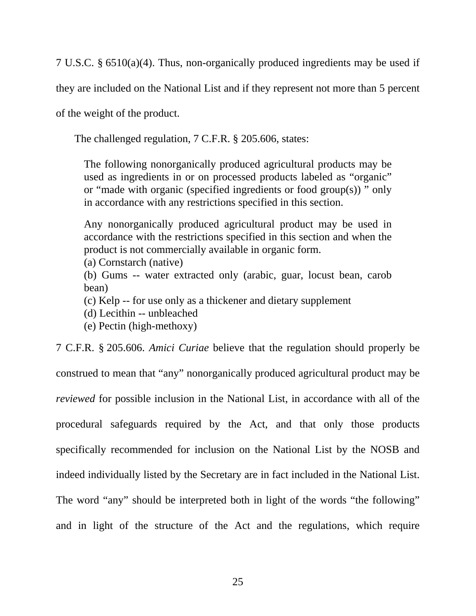7 U.S.C. § 6510(a)(4). Thus, non-organically produced ingredients may be used if

they are included on the National List and if they represent not more than 5 percent

of the weight of the product.

The challenged regulation, 7 C.F.R. § 205.606, states:

The following nonorganically produced agricultural products may be used as ingredients in or on processed products labeled as "organic" or "made with organic (specified ingredients or food group(s)) " only in accordance with any restrictions specified in this section.

Any nonorganically produced agricultural product may be used in accordance with the restrictions specified in this section and when the product is not commercially available in organic form.

(a) Cornstarch (native)

(b) Gums -- water extracted only (arabic, guar, locust bean, carob bean)

- (c) Kelp -- for use only as a thickener and dietary supplement
- (d) Lecithin -- unbleached
- (e) Pectin (high-methoxy)

7 C.F.R. § 205.606. *Amici Curiae* believe that the regulation should properly be

construed to mean that "any" nonorganically produced agricultural product may be *reviewed* for possible inclusion in the National List, in accordance with all of the procedural safeguards required by the Act, and that only those products specifically recommended for inclusion on the National List by the NOSB and indeed individually listed by the Secretary are in fact included in the National List. The word "any" should be interpreted both in light of the words "the following" and in light of the structure of the Act and the regulations, which require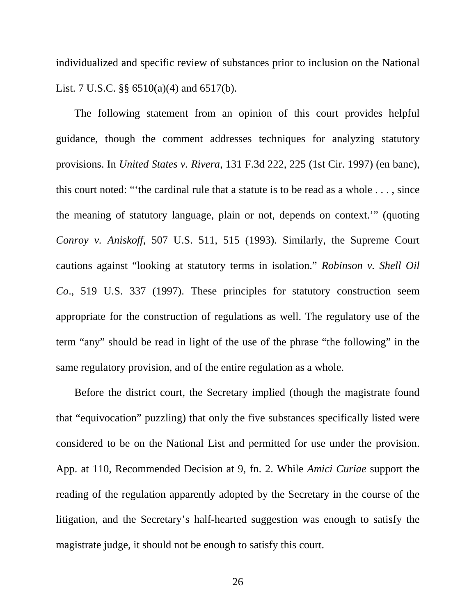individualized and specific review of substances prior to inclusion on the National List. 7 U.S.C. §§ 6510(a)(4) and 6517(b).

The following statement from an opinion of this court provides helpful guidance, though the comment addresses techniques for analyzing statutory provisions. In *United States v. Rivera*, 131 F.3d 222, 225 (1st Cir. 1997) (en banc), this court noted: "'the cardinal rule that a statute is to be read as a whole . . . , since the meaning of statutory language, plain or not, depends on context.'" (quoting *Conroy v. Aniskoff*, 507 U.S. 511, 515 (1993). Similarly, the Supreme Court cautions against "looking at statutory terms in isolation." *Robinson v. Shell Oil Co*., 519 U.S. 337 (1997). These principles for statutory construction seem appropriate for the construction of regulations as well. The regulatory use of the term "any" should be read in light of the use of the phrase "the following" in the same regulatory provision, and of the entire regulation as a whole.

Before the district court, the Secretary implied (though the magistrate found that "equivocation" puzzling) that only the five substances specifically listed were considered to be on the National List and permitted for use under the provision. App. at 110, Recommended Decision at 9, fn. 2. While *Amici Curiae* support the reading of the regulation apparently adopted by the Secretary in the course of the litigation, and the Secretary's half-hearted suggestion was enough to satisfy the magistrate judge, it should not be enough to satisfy this court.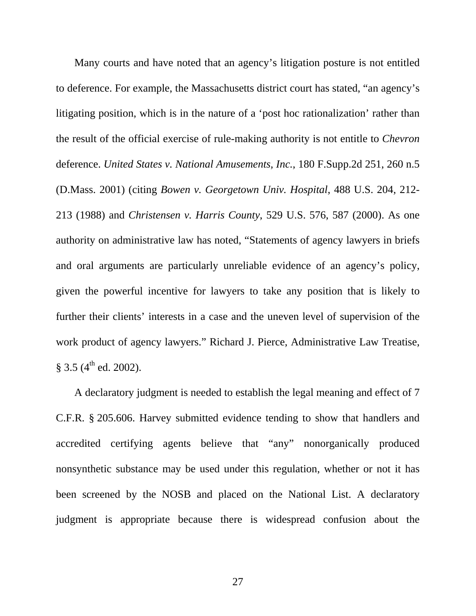<span id="page-33-0"></span>Many courts and have noted that an agency's litigation posture is not entitled to deference. For example, the Massachusetts district court has stated, "an agency's litigating position, which is in the nature of a 'post hoc rationalization' rather than the result of the official exercise of rule-making authority is not entitle to *Chevron* deference. *United States v. National Amusements, Inc.*, 180 F.Supp.2d 251, 260 n.5 (D.Mass. 2001) (citing *Bowen v. Georgetown Univ. Hospital*, 488 U.S. 204, 212- 213 (1988) and *Christensen v. Harris County*, 529 U.S. 576, 587 (2000). As one authority on administrative law has noted, "Statements of agency lawyers in briefs and oral arguments are particularly unreliable evidence of an agency's policy, given the powerful incentive for lawyers to take any position that is likely to further their clients' interests in a case and the uneven level of supervision of the work product of agency lawyers." Richard J. Pierce, Administrative Law Treatise,  $§ 3.5 (4<sup>th</sup> ed. 2002).$ 

A declaratory judgment is needed to establish the legal meaning and effect of 7 C.F.R. § 205.606. Harvey submitted evidence tending to show that handlers and accredited certifying agents believe that "any" nonorganically produced nonsynthetic substance may be used under this regulation, whether or not it has been screened by the NOSB and placed on the National List. A declaratory judgment is appropriate because there is widespread confusion about the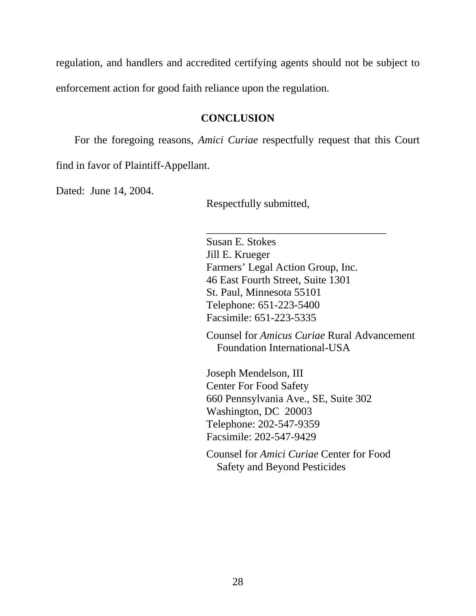regulation, and handlers and accredited certifying agents should not be subject to enforcement action for good faith reliance upon the regulation.

### **CONCLUSION**

For the foregoing reasons, *Amici Curiae* respectfully request that this Court

find in favor of Plaintiff-Appellant.

Dated: June 14, 2004.

Respectfully submitted,

Susan E. Stokes Jill E. Krueger Farmers' Legal Action Group, Inc. 46 East Fourth Street, Suite 1301 St. Paul, Minnesota 55101 Telephone: 651-223-5400 Facsimile: 651-223-5335

\_\_\_\_\_\_\_\_\_\_\_\_\_\_\_\_\_\_\_\_\_\_\_\_\_\_\_\_\_\_\_\_\_

Counsel for *Amicus Curiae* Rural Advancement Foundation International-USA

Joseph Mendelson, III Center For Food Safety 660 Pennsylvania Ave., SE, Suite 302 Washington, DC 20003 Telephone: 202-547-9359 Facsimile: 202-547-9429

Counsel for *Amici Curiae* Center for Food Safety and Beyond Pesticides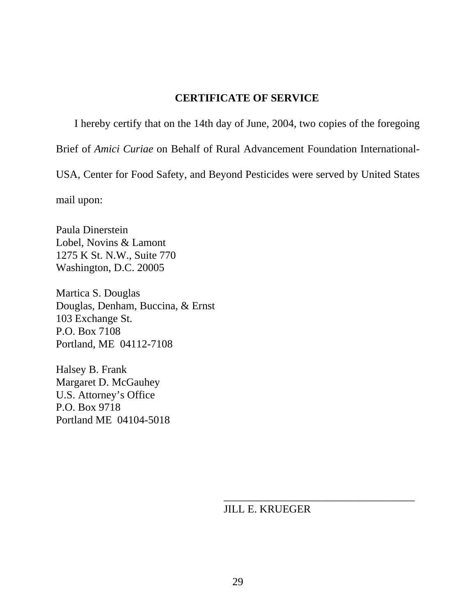### **CERTIFICATE OF SERVICE**

I hereby certify that on the 14th day of June, 2004, two copies of the foregoing Brief of *Amici Curiae* on Behalf of Rural Advancement Foundation International-USA, Center for Food Safety, and Beyond Pesticides were served by United States

mail upon:

Paula Dinerstein Lobel, Novins & Lamont 1275 K St. N.W., Suite 770 Washington, D.C. 20005

Martica S. Douglas Douglas, Denham, Buccina, & Ernst 103 Exchange St. P.O. Box 7108 Portland, ME 04112-7108

Halsey B. Frank Margaret D. McGauhey U.S. Attorney's Office P.O. Box 9718 Portland ME 04104-5018

JILL E. KRUEGER

\_\_\_\_\_\_\_\_\_\_\_\_\_\_\_\_\_\_\_\_\_\_\_\_\_\_\_\_\_\_\_\_\_\_\_